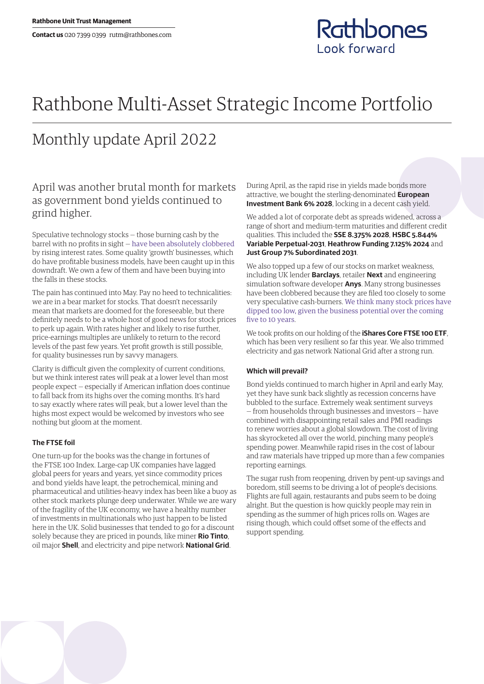## Rathbones **Look forward**

# Rathbone Multi-Asset Strategic Income Portfolio

## Monthly update April 2022

### April was another brutal month for markets as government bond yields continued to grind higher.

Speculative technology stocks — those burning cash by the barrel with no profits in sight — [have been absolutely clobbered](https://www.rathbones.com/blog/zombie-financing) by rising interest rates. Some quality 'growth' businesses, which do have profitable business models, have been caught up in this downdraft. We own a few of them and have been buying into the falls in these stocks.

The pain has continued into May. Pay no heed to technicalities: we are in a bear market for stocks. That doesn't necessarily mean that markets are doomed for the foreseeable, but there definitely needs to be a whole host of good news for stock prices to perk up again. With rates higher and likely to rise further, price-earnings multiples are unlikely to return to the record levels of the past few years. Yet profit growth is still possible, for quality businesses run by savvy managers.

Clarity is difficult given the complexity of current conditions, but we think interest rates will peak at a lower level than most people expect — especially if American inflation does continue to fall back from its highs over the coming months. It's hard to say exactly where rates will peak, but a lower level than the highs most expect would be welcomed by investors who see nothing but gloom at the moment.

### **The FTSE foil**

One turn-up for the books was the change in fortunes of the FTSE 100 Index. Large-cap UK companies have lagged global peers for years and years, yet since commodity prices and bond yields have leapt, the petrochemical, mining and pharmaceutical and utilities-heavy index has been like a buoy as other stock markets plunge deep underwater. While we are wary of the fragility of the UK economy, we have a healthy number of investments in multinationals who just happen to be listed here in the UK. Solid businesses that tended to go for a discount solely because they are priced in pounds, like miner **Rio Tinto**, oil major **Shell**, and electricity and pipe network **National Grid**.

During April, as the rapid rise in yields made bonds more attractive, we bought the sterling-denominated **European Investment Bank 6% 2028**, locking in a decent cash yield.

We added a lot of corporate debt as spreads widened, across a range of short and medium-term maturities and different credit qualities. This included the **SSE 8.375% 2028**, **HSBC 5.844% Variable Perpetual-2031**, **Heathrow Funding 7.125% 2024** and **Just Group 7% Subordinated 2031**.

We also topped up a few of our stocks on market weakness, including UK lender **Barclays**, retailer **Next** and engineering simulation software developer **Anys**. Many strong businesses have been clobbered because they are filed too closely to some very speculative cash-burners. [We think many stock prices have](https://linktr.ee/thesharpeend)  [dipped too low, given the business potential over the coming](https://linktr.ee/thesharpeend)  [five to 10 years](https://linktr.ee/thesharpeend).

We took profits on our holding of the **iShares Core FTSE 100 ETF**, which has been very resilient so far this year. We also trimmed electricity and gas network National Grid after a strong run.

### **Which will prevail?**

Bond yields continued to march higher in April and early May, yet they have sunk back slightly as recession concerns have bubbled to the surface. Extremely weak sentiment surveys — from households through businesses and investors — have combined with disappointing retail sales and PMI readings to renew worries about a global slowdown. The cost of living has skyrocketed all over the world, pinching many people's spending power. Meanwhile rapid rises in the cost of labour and raw materials have tripped up more than a few companies reporting earnings.

The sugar rush from reopening, driven by pent-up savings and boredom, still seems to be driving a lot of people's decisions. Flights are full again, restaurants and pubs seem to be doing alright. But the question is how quickly people may rein in spending as the summer of high prices rolls on. Wages are rising though, which could offset some of the effects and support spending.